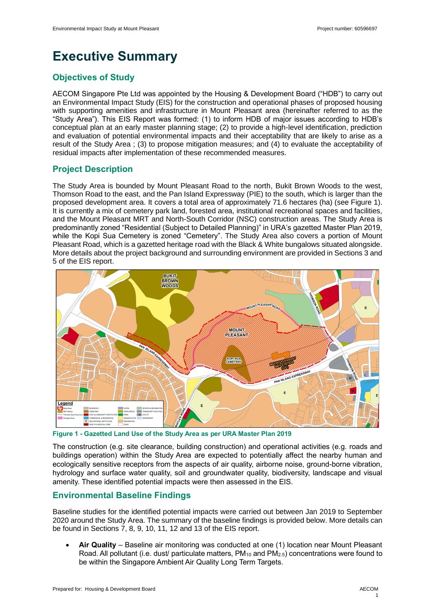# **Executive Summary**

## **Objectives of Study**

AECOM Singapore Pte Ltd was appointed by the Housing & Development Board ("HDB") to carry out an Environmental Impact Study (EIS) for the construction and operational phases of proposed housing with supporting amenities and infrastructure in Mount Pleasant area (hereinafter referred to as the "Study Area"). This EIS Report was formed: (1) to inform HDB of major issues according to HDB's conceptual plan at an early master planning stage; (2) to provide a high-level identification, prediction and evaluation of potential environmental impacts and their acceptability that are likely to arise as a result of the Study Area ; (3) to propose mitigation measures; and (4) to evaluate the acceptability of residual impacts after implementation of these recommended measures.

## **Project Description**

The Study Area is bounded by Mount Pleasant Road to the north, Bukit Brown Woods to the west, Thomson Road to the east, and the Pan Island Expressway (PIE) to the south, which is larger than the proposed development area. It covers a total area of approximately 71.6 hectares (ha) (see [Figure 1\)](#page-0-0). It is currently a mix of cemetery park land, forested area, institutional recreational spaces and facilities, and the Mount Pleasant MRT and North-South Corridor (NSC) construction areas. The Study Area is predominantly zoned "Residential (Subject to Detailed Planning)" in URA's gazetted Master Plan 2019, while the Kopi Sua Cemetery is zoned "Cemetery". The Study Area also covers a portion of Mount Pleasant Road, which is a gazetted heritage road with the Black & White bungalows situated alongside. More details about the project background and surrounding environment are provided in Sections 3 and 5 of the EIS report.



<span id="page-0-0"></span>**Figure 1 - Gazetted Land Use of the Study Area as per URA Master Plan 2019**

The construction (e.g. site clearance, building construction) and operational activities (e.g. roads and buildings operation) within the Study Area are expected to potentially affect the nearby human and ecologically sensitive receptors from the aspects of air quality, airborne noise, ground-borne vibration, hydrology and surface water quality, soil and groundwater quality, biodiversity, landscape and visual amenity. These identified potential impacts were then assessed in the EIS.

## **Environmental Baseline Findings**

Baseline studies for the identified potential impacts were carried out between Jan 2019 to September 2020 around the Study Area. The summary of the baseline findings is provided below. More details can be found in Sections 7, 8, 9, 10, 11, 12 and 13 of the EIS report.

• **Air Quality** – Baseline air monitoring was conducted at one (1) location near Mount Pleasant Road. All pollutant (i.e. dust/ particulate matters, PM<sub>10</sub> and PM<sub>2.5</sub>) concentrations were found to be within the Singapore Ambient Air Quality Long Term Targets.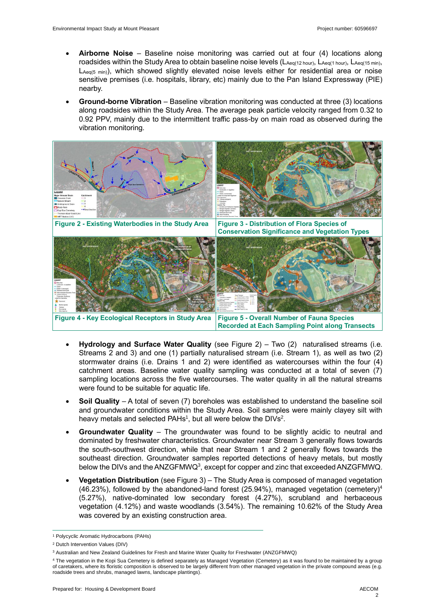- **Airborne Noise** Baseline noise monitoring was carried out at four (4) locations along roadsides within the Study Area to obtain baseline noise levels (L<sub>Aeq(12 hour)</sub>, L<sub>Aeq(15 min)</sub>, L<sub>Aeq(15</sub> min), LAeq(5 min)), which showed slightly elevated noise levels either for residential area or noise sensitive premises (i.e. hospitals, library, etc) mainly due to the Pan Island Expressway (PIE) nearby.
- **Ground-borne Vibration** Baseline vibration monitoring was conducted at three (3) locations along roadsides within the Study Area. The average peak particle velocity ranged from 0.32 to 0.92 PPV, mainly due to the intermittent traffic pass-by on main road as observed during the vibration monitoring.

<span id="page-1-1"></span><span id="page-1-0"></span>

**Recorded at Each Sampling Point along Transects**

- <span id="page-1-3"></span><span id="page-1-2"></span>• **Hydrology and Surface Water Quality** (see [Figure 2\)](#page-1-0) – Two (2) naturalised streams (i.e. Streams 2 and 3) and one (1) partially naturalised stream (i.e. Stream 1), as well as two (2) stormwater drains (i.e. Drains 1 and 2) were identified as watercourses within the four (4) catchment areas. Baseline water quality sampling was conducted at a total of seven (7) sampling locations across the five watercourses. The water quality in all the natural streams were found to be suitable for aquatic life.
- **Soil Quality** A total of seven (7) boreholes was established to understand the baseline soil and groundwater conditions within the Study Area. Soil samples were mainly clayey silt with heavy metals and selected PAHs<sup>1</sup>, but all were below the DIVs<sup>2</sup>.
- **Groundwater Quality** The groundwater was found to be slightly acidic to neutral and dominated by freshwater characteristics. Groundwater near Stream 3 generally flows towards the south-southwest direction, while that near Stream 1 and 2 generally flows towards the southeast direction. Groundwater samples reported detections of heavy metals, but mostly below the DIVs and the ANZGFMWQ<sup>3</sup>, except for copper and zinc that exceeded ANZGFMWQ.
- **Vegetation Distribution** (see [Figure 3\)](#page-1-1) The Study Area is composed of managed vegetation (46.23%), followed by the abandoned-land forest (25.94%), managed vegetation (cemetery)<sup>4</sup> (5.27%), native-dominated low secondary forest (4.27%), scrubland and herbaceous vegetation (4.12%) and waste woodlands (3.54%). The remaining 10.62% of the Study Area was covered by an existing construction area.

<sup>1</sup> Polycyclic Aromatic Hydrocarbons (PAHs)

<sup>2</sup> Dutch Intervention Values (DIV)

<sup>3</sup> Australian and New Zealand Guidelines for Fresh and Marine Water Quality for Freshwater (ANZGFMWQ)

<sup>4</sup> The vegetation in the Kopi Sua Cemetery is defined separately as Managed Vegetation (Cemetery) as it was found to be maintained by a group of caretakers, where its floristic composition is observed to be largely different from other managed vegetation in the private compound areas (e.g. roadside trees and shrubs, managed lawns, landscape plantings).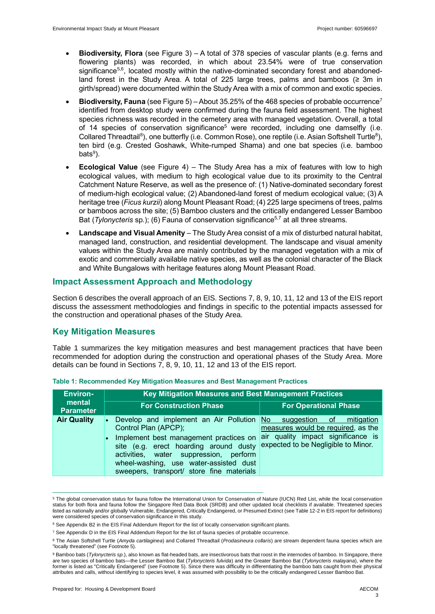- <span id="page-2-0"></span>• **Biodiversity, Flora** (see [Figure 3\)](#page-1-1) – A total of 378 species of vascular plants (e.g. ferns and flowering plants) was recorded, in which about 23.54% were of true conservation significance<sup>5,6</sup>, located mostly within the native-dominated secondary forest and abandonedland forest in the Study Area. A total of 225 large trees, palms and bamboos ( $\geq 3$ m in girth/spread) were documented within the Study Area with a mix of common and exotic species.
- <span id="page-2-2"></span>• **Biodiversity, Fauna** (see [Figure 5\)](#page-1-2) – About 35.25% of the 468 species of probable occurrence<sup>7</sup> identified from desktop study were confirmed during the fauna field assessment. The highest species richness was recorded in the cemetery area with managed vegetation. Overall, a total of 14 species of conservation significance<sup>[5](#page-2-0)</sup> were recorded, including one damselfly (i.e. Collar[e](#page-2-1)d Threadtail<sup>8</sup>), one butterfly (i.e. Common Rose), one reptile (i.e. Asian Softshell Turtle<sup>8</sup>), ten bird (e.g. Crested Goshawk, White-rumped Shama) and one bat species (i.e. bamboo bats<sup>9</sup>).
- <span id="page-2-1"></span>• **Ecological Value** (see [Figure 4\)](#page-1-3) – The Study Area has a mix of features with low to high ecological values, with medium to high ecological value due to its proximity to the Central Catchment Nature Reserve, as well as the presence of: (1) Native-dominated secondary forest of medium-high ecological value; (2) Abandoned-land forest of medium ecological value; (3) A heritage tree (*Ficus kurzii*) along Mount Pleasant Road; (4) 225 large specimens of trees, palms or bamboos across the site; (5) Bamboo clusters and the critically endangered Lesser Bamboo Bat (*Tylonycteris* sp.); (6) Fauna of conservation significance<sup>[5,](#page-2-0)[7](#page-2-2)</sup> at all three streams.
- **Landscape and Visual Amenity**  The Study Area consist of a mix of disturbed natural habitat, managed land, construction, and residential development. The landscape and visual amenity values within the Study Area are mainly contributed by the managed vegetation with a mix of exotic and commercially available native species, as well as the colonial character of the Black and White Bungalows with heritage features along Mount Pleasant Road.

#### **Impact Assessment Approach and Methodology**

Section 6 describes the overall approach of an EIS. Sections 7, 8, 9, 10, 11, 12 and 13 of the EIS report discuss the assessment methodologies and findings in specific to the potential impacts assessed for the construction and operational phases of the Study Area.

#### **Key Mitigation Measures**

[Table 1](#page-2-3) summarizes the key mitigation measures and best management practices that have been recommended for adoption during the construction and operational phases of the Study Area. More details can be found in Sections 7, 8, 9, 10, 11, 12 and 13 of the EIS report.

| <b>Environ-</b>            | Key Mitigation Measures and Best Management Practices                                                                                                                                                                                                                                               |                                                                                                                                                |  |  |
|----------------------------|-----------------------------------------------------------------------------------------------------------------------------------------------------------------------------------------------------------------------------------------------------------------------------------------------------|------------------------------------------------------------------------------------------------------------------------------------------------|--|--|
| mental<br><b>Parameter</b> | <b>For Construction Phase</b>                                                                                                                                                                                                                                                                       | <b>For Operational Phase</b>                                                                                                                   |  |  |
| <b>Air Quality</b>         | Develop and implement an Air Pollution No<br>$\bullet$<br>Control Plan (APCP);<br>Implement best management practices on<br>site (e.g. erect hoarding around dusty<br>activities, water suppression, perform<br>wheel-washing, use water-assisted dust<br>sweepers, transport/ store fine materials | suggestion of<br>mitigation<br>measures would be required, as the<br>air quality impact significance is<br>expected to be Negligible to Minor. |  |  |

<span id="page-2-3"></span>

|  | Table 1: Recommended Key Mitigation Measures and Best Management Practices |  |
|--|----------------------------------------------------------------------------|--|
|--|----------------------------------------------------------------------------|--|

<sup>5</sup> The global conservation status for fauna follow the International Union for Conservation of Nature (IUCN) Red List, while the local conservation status for both flora and fauna follow the Singapore Red Data Book (SRDB) and other updated local checklists if available. Threatened species listed as nationally and/or globally Vulnerable, Endangered, Critically Endangered, or Presumed Extinct (see Table 12-2 in EIS report for definitions) were considered species of conservation significance in this study.

<sup>6</sup> See Appendix B2 in the EIS Final Addendum Report for the list of locally conservation significant plants.

<sup>7</sup> See Appendix D in the EIS Final Addendum Report for the list of fauna species of probable occurrence.

<sup>8</sup> The Asian Softshell Turtle (*Amyda cartilaginea*) and Collared Threadtail (*Prodasineura collaris*) are stream dependent fauna species which are "locally threatened" (see Footnot[e 5\).](#page-2-0)

<sup>9</sup> Bamboo bats (Tylonycteris sp.), also known as flat-headed bats, are insectivorous bats that roost in the internodes of bamboo. In Singapore, there are two species of bamboo bats—the Lesser Bamboo Bat (*Tylonycteris fulvida*) and the Greater Bamboo Bat (*Tylonycteris malayana*), where the former is listed as "Critically Endangered" (see Footnote [5\)](#page-2-0). Since there was difficulty in differentiating the bamboo bats caught from their physical attributes and calls, without identifying to species level, it was assumed with possibility to be the critically endangered Lesser Bamboo Bat.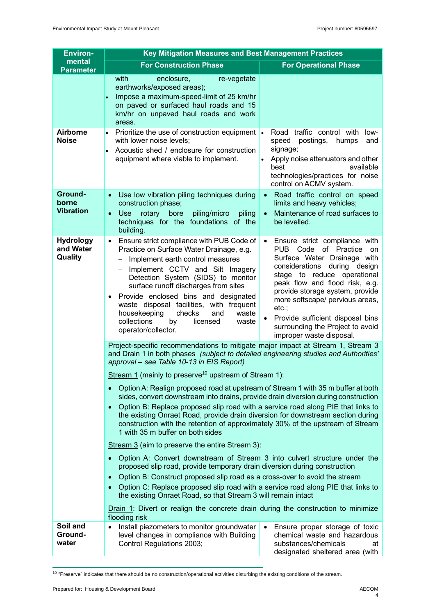| <b>Environ-</b>                          | Key Mitigation Measures and Best Management Practices                                                                                                                                                                                                                                                                                                                                                                                                                                                                                                                                                                                                                                                                                                                                                                                                                                                                                                                                                                                                                                                                                                                                                                                                                                                              |                                                                                                                                                                                                                                                                                                                                                                                              |  |  |  |
|------------------------------------------|--------------------------------------------------------------------------------------------------------------------------------------------------------------------------------------------------------------------------------------------------------------------------------------------------------------------------------------------------------------------------------------------------------------------------------------------------------------------------------------------------------------------------------------------------------------------------------------------------------------------------------------------------------------------------------------------------------------------------------------------------------------------------------------------------------------------------------------------------------------------------------------------------------------------------------------------------------------------------------------------------------------------------------------------------------------------------------------------------------------------------------------------------------------------------------------------------------------------------------------------------------------------------------------------------------------------|----------------------------------------------------------------------------------------------------------------------------------------------------------------------------------------------------------------------------------------------------------------------------------------------------------------------------------------------------------------------------------------------|--|--|--|
| mental<br><b>Parameter</b>               | <b>For Construction Phase</b>                                                                                                                                                                                                                                                                                                                                                                                                                                                                                                                                                                                                                                                                                                                                                                                                                                                                                                                                                                                                                                                                                                                                                                                                                                                                                      | <b>For Operational Phase</b>                                                                                                                                                                                                                                                                                                                                                                 |  |  |  |
| Airborne<br><b>Noise</b>                 | with<br>enclosure,<br>re-vegetate<br>earthworks/exposed areas);<br>Impose a maximum-speed-limit of 25 km/hr<br>on paved or surfaced haul roads and 15<br>km/hr on unpaved haul roads and work<br>areas.<br>Prioritize the use of construction equipment •<br>$\bullet$<br>with lower noise levels;<br>Acoustic shed / enclosure for construction<br>equipment where viable to implement.                                                                                                                                                                                                                                                                                                                                                                                                                                                                                                                                                                                                                                                                                                                                                                                                                                                                                                                           | Road traffic control with<br>low-<br>postings,<br>speed<br>humps<br>and<br>signage;<br>Apply noise attenuators and other<br>available<br>best<br>technologies/practices for noise                                                                                                                                                                                                            |  |  |  |
| Ground-<br>borne<br><b>Vibration</b>     | Use low vibration piling techniques during<br>$\bullet$<br>construction phase;<br>rotary bore<br>piling/micro<br>piling<br>Use<br>techniques for the foundations of the<br>building.                                                                                                                                                                                                                                                                                                                                                                                                                                                                                                                                                                                                                                                                                                                                                                                                                                                                                                                                                                                                                                                                                                                               | control on ACMV system.<br>Road traffic control on speed<br>$\bullet$<br>limits and heavy vehicles;<br>Maintenance of road surfaces to<br>$\bullet$<br>be levelled.                                                                                                                                                                                                                          |  |  |  |
| <b>Hydrology</b><br>and Water<br>Quality | Ensure strict compliance with PUB Code of<br>$\bullet$<br>Practice on Surface Water Drainage, e.g.<br>Implement earth control measures<br>- Implement CCTV and Silt Imagery<br>Detection System (SIDS) to monitor<br>surface runoff discharges from sites<br>Provide enclosed bins and designated<br>waste disposal facilities, with frequent<br>housekeeping<br>checks<br>and<br>waste<br>collections<br>by<br>licensed<br>waste<br>operator/collector.                                                                                                                                                                                                                                                                                                                                                                                                                                                                                                                                                                                                                                                                                                                                                                                                                                                           | Ensure strict compliance with<br>$\bullet$<br>Code of Practice on<br>PUB.<br>Surface Water Drainage with<br>considerations during design<br>stage to reduce operational<br>peak flow and flood risk, e.g.<br>provide storage system, provide<br>more softscape/ pervious areas,<br>etc.;<br>Provide sufficient disposal bins<br>surrounding the Project to avoid<br>improper waste disposal. |  |  |  |
|                                          | Project-specific recommendations to mitigate major impact at Stream 1, Stream 3<br>and Drain 1 in both phases (subject to detailed engineering studies and Authorities'<br>approval - see Table 10-13 in EIS Report)<br>Stream 1 (mainly to preserve <sup>10</sup> upstream of Stream 1):<br>Option A: Realign proposed road at upstream of Stream 1 with 35 m buffer at both<br>sides, convert downstream into drains, provide drain diversion during construction<br>Option B: Replace proposed slip road with a service road along PIE that links to<br>$\bullet$<br>the existing Onraet Road, provide drain diversion for downstream section during<br>construction with the retention of approximately 30% of the upstream of Stream<br>1 with 35 m buffer on both sides<br>Stream 3 (aim to preserve the entire Stream 3):<br>Option A: Convert downstream of Stream 3 into culvert structure under the<br>proposed slip road, provide temporary drain diversion during construction<br>Option B: Construct proposed slip road as a cross-over to avoid the stream<br>Option C: Replace proposed slip road with a service road along PIE that links to<br>the existing Onraet Road, so that Stream 3 will remain intact<br>Drain 1: Divert or realign the concrete drain during the construction to minimize |                                                                                                                                                                                                                                                                                                                                                                                              |  |  |  |
|                                          |                                                                                                                                                                                                                                                                                                                                                                                                                                                                                                                                                                                                                                                                                                                                                                                                                                                                                                                                                                                                                                                                                                                                                                                                                                                                                                                    |                                                                                                                                                                                                                                                                                                                                                                                              |  |  |  |
| Soil and<br>Ground-<br>water             | flooding risk<br>Install piezometers to monitor groundwater<br>level changes in compliance with Building<br>Control Regulations 2003;                                                                                                                                                                                                                                                                                                                                                                                                                                                                                                                                                                                                                                                                                                                                                                                                                                                                                                                                                                                                                                                                                                                                                                              | Ensure proper storage of toxic<br>$\bullet$<br>chemical waste and hazardous<br>substances/chemicals<br>at<br>designated sheltered area (with                                                                                                                                                                                                                                                 |  |  |  |

 $10$  "Preserve" indicates that there should be no construction/operational activities disturbing the existing conditions of the stream.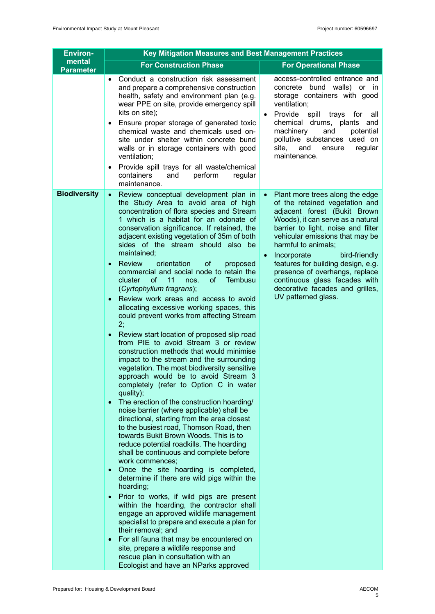| <b>Environ-</b>            | Key Mitigation Measures and Best Management Practices                                                                                                                                                                                                                                                                                                                                                                                                                                                                                                                                                                                                                                                                                                                                                                                                                                                                                                                                                                                                                                                                                                                                                                                                                                                                                                                                                                                                                                                                                                                                                                                                                                                                                                                                                                                                       |                                                                                                                                                                                                                                                                                                                                                                                                                                                                     |  |  |  |
|----------------------------|-------------------------------------------------------------------------------------------------------------------------------------------------------------------------------------------------------------------------------------------------------------------------------------------------------------------------------------------------------------------------------------------------------------------------------------------------------------------------------------------------------------------------------------------------------------------------------------------------------------------------------------------------------------------------------------------------------------------------------------------------------------------------------------------------------------------------------------------------------------------------------------------------------------------------------------------------------------------------------------------------------------------------------------------------------------------------------------------------------------------------------------------------------------------------------------------------------------------------------------------------------------------------------------------------------------------------------------------------------------------------------------------------------------------------------------------------------------------------------------------------------------------------------------------------------------------------------------------------------------------------------------------------------------------------------------------------------------------------------------------------------------------------------------------------------------------------------------------------------------|---------------------------------------------------------------------------------------------------------------------------------------------------------------------------------------------------------------------------------------------------------------------------------------------------------------------------------------------------------------------------------------------------------------------------------------------------------------------|--|--|--|
| mental<br><b>Parameter</b> | <b>For Construction Phase</b>                                                                                                                                                                                                                                                                                                                                                                                                                                                                                                                                                                                                                                                                                                                                                                                                                                                                                                                                                                                                                                                                                                                                                                                                                                                                                                                                                                                                                                                                                                                                                                                                                                                                                                                                                                                                                               | <b>For Operational Phase</b>                                                                                                                                                                                                                                                                                                                                                                                                                                        |  |  |  |
|                            | Conduct a construction risk assessment<br>$\bullet$<br>and prepare a comprehensive construction<br>health, safety and environment plan (e.g.<br>wear PPE on site, provide emergency spill<br>kits on site);<br>Ensure proper storage of generated toxic<br>chemical waste and chemicals used on-<br>site under shelter within concrete bund<br>walls or in storage containers with good<br>ventilation;<br>Provide spill trays for all waste/chemical<br>and<br>perform<br>containers<br>regular<br>maintenance.                                                                                                                                                                                                                                                                                                                                                                                                                                                                                                                                                                                                                                                                                                                                                                                                                                                                                                                                                                                                                                                                                                                                                                                                                                                                                                                                            | access-controlled entrance and<br>concrete bund walls) or in<br>storage containers with good<br>ventilation;<br>Provide<br>spill<br>trays<br>for<br>$\bullet$<br>all<br>chemical drums, plants and<br>machinery<br>and<br>potential<br>pollutive substances used on<br>site.<br>and<br>regular<br>ensure<br>maintenance.                                                                                                                                            |  |  |  |
| <b>Biodiversity</b>        | Review conceptual development plan in<br>the Study Area to avoid area of high<br>concentration of flora species and Stream<br>1 which is a habitat for an odonate of<br>conservation significance. If retained, the<br>adjacent existing vegetation of 35m of both<br>sides of the stream should also be<br>maintained;<br>Review<br>orientation<br>of<br>proposed<br>commercial and social node to retain the<br>of<br><b>of</b><br>11<br><b>Tembusu</b><br>cluster<br>nos.<br>(Cyrtophyllum fragrans);<br>Review work areas and access to avoid<br>allocating excessive working spaces, this<br>could prevent works from affecting Stream<br>2;<br>Review start location of proposed slip road<br>from PIE to avoid Stream 3 or review<br>construction methods that would minimise<br>impact to the stream and the surrounding<br>vegetation. The most biodiversity sensitive<br>approach would be to avoid Stream 3<br>completely (refer to Option C in water<br>quality);<br>The erection of the construction hoarding/<br>$\bullet$<br>noise barrier (where applicable) shall be<br>directional, starting from the area closest<br>to the busiest road, Thomson Road, then<br>towards Bukit Brown Woods. This is to<br>reduce potential roadkills. The hoarding<br>shall be continuous and complete before<br>work commences;<br>Once the site hoarding is completed,<br>$\bullet$<br>determine if there are wild pigs within the<br>hoarding;<br>Prior to works, if wild pigs are present<br>$\bullet$<br>within the hoarding, the contractor shall<br>engage an approved wildlife management<br>specialist to prepare and execute a plan for<br>their removal; and<br>For all fauna that may be encountered on<br>$\bullet$<br>site, prepare a wildlife response and<br>rescue plan in consultation with an<br>Ecologist and have an NParks approved | Plant more trees along the edge<br>$\bullet$<br>of the retained vegetation and<br>adjacent forest (Bukit Brown<br>Woods), it can serve as a natural<br>barrier to light, noise and filter<br>vehicular emissions that may be<br>harmful to animals;<br>Incorporate<br>bird-friendly<br>$\bullet$<br>features for building design, e.g.<br>presence of overhangs, replace<br>continuous glass facades with<br>decorative facades and grilles,<br>UV patterned glass. |  |  |  |